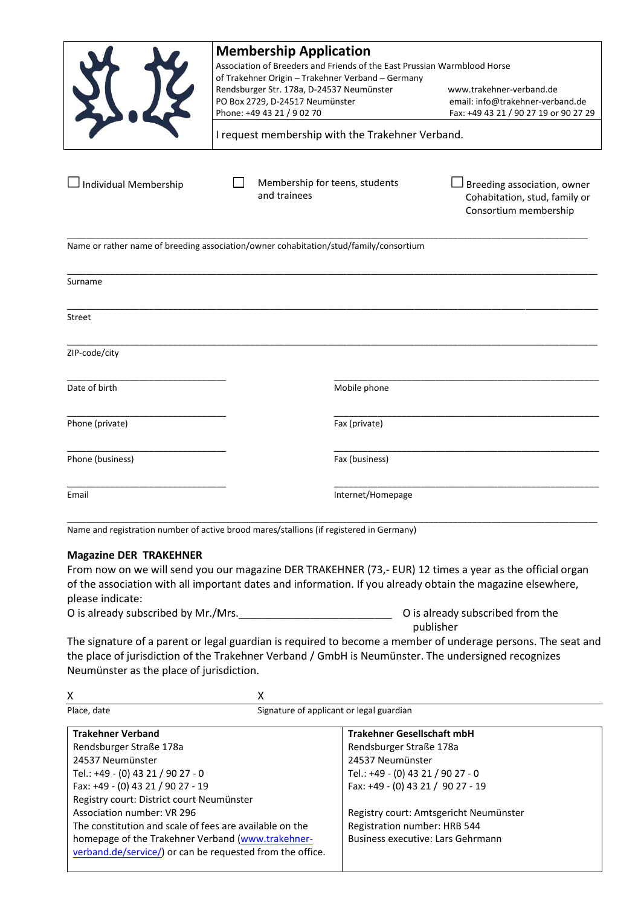|                                                                                       | <b>Membership Application</b><br>Association of Breeders and Friends of the East Prussian Warmblood Horse<br>of Trakehner Origin - Trakehner Verband - Germany<br>Rendsburger Str. 178a, D-24537 Neumünster |                   |                                                                                       |  |
|---------------------------------------------------------------------------------------|-------------------------------------------------------------------------------------------------------------------------------------------------------------------------------------------------------------|-------------------|---------------------------------------------------------------------------------------|--|
|                                                                                       | PO Box 2729, D-24517 Neumünster                                                                                                                                                                             |                   | www.trakehner-verband.de<br>email: info@trakehner-verband.de                          |  |
|                                                                                       | Phone: +49 43 21 / 9 02 70                                                                                                                                                                                  |                   | Fax: +49 43 21 / 90 27 19 or 90 27 29                                                 |  |
| I request membership with the Trakehner Verband.                                      |                                                                                                                                                                                                             |                   |                                                                                       |  |
| Individual Membership                                                                 | Membership for teens, students<br>and trainees                                                                                                                                                              |                   | Breeding association, owner<br>Cohabitation, stud, family or<br>Consortium membership |  |
| Name or rather name of breeding association/owner cohabitation/stud/family/consortium |                                                                                                                                                                                                             |                   |                                                                                       |  |
| Surname                                                                               |                                                                                                                                                                                                             |                   |                                                                                       |  |
| Street                                                                                |                                                                                                                                                                                                             |                   |                                                                                       |  |
| ZIP-code/city                                                                         |                                                                                                                                                                                                             |                   |                                                                                       |  |
| Date of birth                                                                         |                                                                                                                                                                                                             | Mobile phone      |                                                                                       |  |
| Phone (private)                                                                       |                                                                                                                                                                                                             | Fax (private)     |                                                                                       |  |
| Phone (business)                                                                      |                                                                                                                                                                                                             | Fax (business)    |                                                                                       |  |
| Email                                                                                 |                                                                                                                                                                                                             | Internet/Homepage |                                                                                       |  |

\_\_\_\_\_\_\_\_\_\_\_\_\_\_\_\_\_\_\_\_\_\_\_\_\_\_\_\_\_\_\_\_\_\_\_\_\_\_\_\_\_\_\_\_\_\_\_\_\_\_\_\_\_\_\_\_\_\_\_\_\_\_\_\_\_\_\_\_\_\_\_\_\_\_\_\_\_\_\_\_\_\_\_\_\_\_\_\_\_\_\_\_\_\_\_\_\_\_\_\_\_\_\_\_\_\_\_\_\_\_ Name and registration number of active brood mares/stallions (if registered in Germany)

## **Magazine DER TRAKEHNER**

From now on we will send you our magazine DER TRAKEHNER (73,- EUR) 12 times a year as the official organ of the association with all important dates and information. If you already obtain the magazine elsewhere, please indicate:

O is already subscribed by Mr./Mrs.\_\_\_\_\_\_\_\_\_\_\_\_\_\_\_\_\_\_\_\_\_\_\_\_\_\_ O is already subscribed from the publisher

The signature of a parent or legal guardian is required to become a member of underage persons. The seat and the place of jurisdiction of the Trakehner Verband / GmbH is Neumünster. The undersigned recognizes Neumünster as the place of jurisdiction.

| х                                                                                                                                                   |
|-----------------------------------------------------------------------------------------------------------------------------------------------------|
| Signature of applicant or legal guardian                                                                                                            |
| <b>Trakehner Gesellschaft mbH</b>                                                                                                                   |
| Rendsburger Straße 178a                                                                                                                             |
| 24537 Neumünster                                                                                                                                    |
| Tel.: +49 - (0) 43 21 / 90 27 - 0                                                                                                                   |
| Fax: +49 - (0) 43 21 / 90 27 - 19                                                                                                                   |
| Registry court: District court Neumünster                                                                                                           |
| Registry court: Amtsgericht Neumünster                                                                                                              |
| The constitution and scale of fees are available on the<br>Registration number: HRB 544                                                             |
| homepage of the Trakehner Verband (www.trakehner-<br>Business executive: Lars Gehrmann<br>verband.de/service/) or can be requested from the office. |
|                                                                                                                                                     |